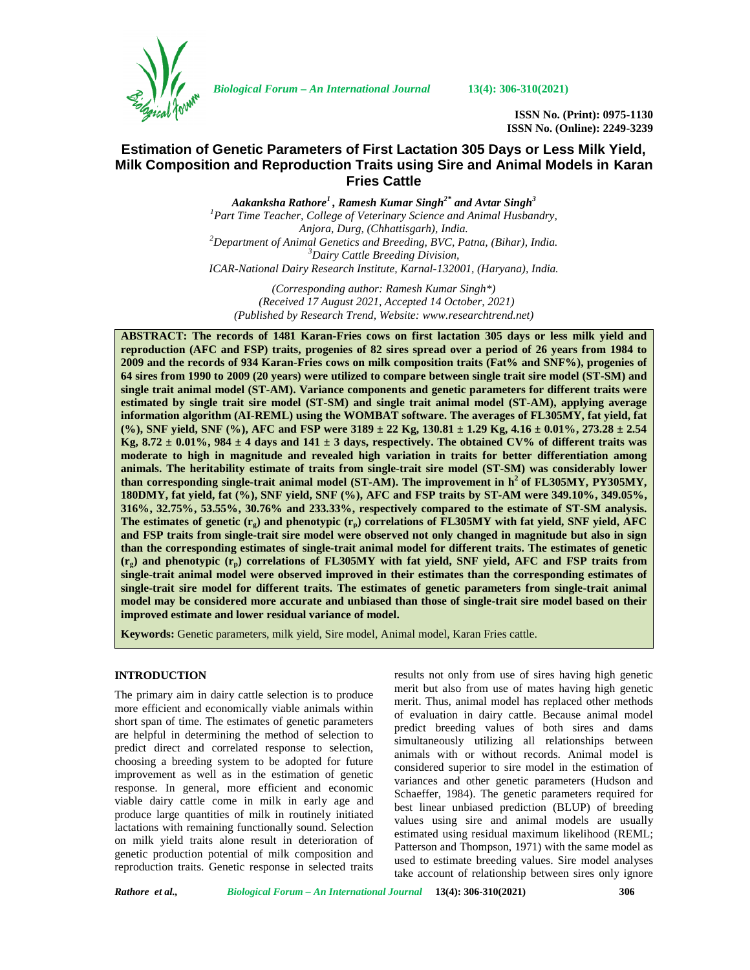

*Biological Forum – An International Journal* **13(4): 306-310(2021)**

**ISSN No. (Print): 0975-1130 ISSN No. (Online): 2249-3239**

# **Estimation of Genetic Parameters of First Lactation 305 Days or Less Milk Yield, Milk Composition and Reproduction Traits using Sire and Animal Models in Karan Fries Cattle**

*Aakanksha Rathore<sup>1</sup> , Ramesh Kumar Singh2\* and Avtar Singh<sup>3</sup> <sup>1</sup>Part Time Teacher, College of Veterinary Science and Animal Husbandry, Anjora, Durg, (Chhattisgarh), India. <sup>2</sup>Department of Animal Genetics and Breeding, BVC, Patna, (Bihar), India. <sup>3</sup>Dairy Cattle Breeding Division, ICAR-National Dairy Research Institute, Karnal-132001, (Haryana), India.*

*(Corresponding author: Ramesh Kumar Singh\*) (Received 17 August 2021, Accepted 14 October, 2021) (Published by Research Trend, Website: [www.researchtrend.net\)](www.researchtrend.net)*

**ABSTRACT: The records of 1481 Karan-Fries cows on first lactation 305 days or less milk yield and reproduction (AFC and FSP) traits, progenies of 82 sires spread over a period of 26 years from 1984 to 2009 and the records of 934 Karan-Fries cows on milk composition traits (Fat% and SNF%), progenies of 64 sires from 1990 to 2009 (20 years) were utilized to compare between single trait sire model (ST-SM) and single trait animal model (ST-AM). Variance components and genetic parameters for different traits were estimated by single trait sire model (ST-SM) and single trait animal model (ST-AM), applying average information algorithm (AI-REML) using the WOMBAT software. The averages of FL305MY, fat yield, fat (%), SNF yield, SNF (%), AFC and FSP were 3189 ± 22 Kg, 130.81 ± 1.29 Kg, 4.16 ± 0.01%, 273.28 ± 2.54** Kg,  $8.72 \pm 0.01\%$ ,  $984 \pm 4$  days and  $141 \pm 3$  days, respectively. The obtained CV% of different traits was **moderate to high in magnitude and revealed high variation in traits for better differentiation among animals. The heritability estimate of traits from single-trait sire model (ST-SM) was considerably lower than corresponding single-trait animal model (ST-AM). The improvement in h<sup>2</sup> of FL305MY, PY305MY, 180DMY, fat yield, fat (%), SNF yield, SNF (%), AFC and FSP traits by ST-AM were 349.10%, 349.05%, 316%, 32.75%, 53.55%, 30.76% and 233.33%, respectively compared to the estimate of ST-SM analysis. The estimates of genetic (rg) and phenotypic (rp) correlations of FL305MY with fat yield, SNF yield, AFC and FSP traits from single-trait sire model were observed not only changed in magnitude but also in sign than the corresponding estimates of single-trait animal model for different traits. The estimates of genetic (rg) and phenotypic (rp) correlations of FL305MY with fat yield, SNF yield, AFC and FSP traits from single-trait animal model were observed improved in their estimates than the corresponding estimates of single-trait sire model for different traits. The estimates of genetic parameters from single-trait animal model may be considered more accurate and unbiased than those of single-trait sire model based on their improved estimate and lower residual variance of model.**

**Keywords:** Genetic parameters, milk yield, Sire model, Animal model, Karan Fries cattle.

### **INTRODUCTION**

The primary aim in dairy cattle selection is to produce more efficient and economically viable animals within short span of time. The estimates of genetic parameters are helpful in determining the method of selection to predict direct and correlated response to selection, choosing a breeding system to be adopted for future improvement as well as in the estimation of genetic response. In general, more efficient and economic viable dairy cattle come in milk in early age and produce large quantities of milk in routinely initiated lactations with remaining functionally sound. Selection on milk yield traits alone result in deterioration of genetic production potential of milk composition and reproduction traits. Genetic response in selected traits results not only from use of sires having high genetic merit but also from use of mates having high genetic merit. Thus, animal model has replaced other methods of evaluation in dairy cattle. Because animal model predict breeding values of both sires and dams simultaneously utilizing all relationships between animals with or without records. Animal model is considered superior to sire model in the estimation of variances and other genetic parameters (Hudson and Schaeffer, 1984). The genetic parameters required for best linear unbiased prediction (BLUP) of breeding values using sire and animal models are usually estimated using residual maximum likelihood (REML; Patterson and Thompson, 1971) with the same model as used to estimate breeding values. Sire model analyses take account of relationship between sires only ignore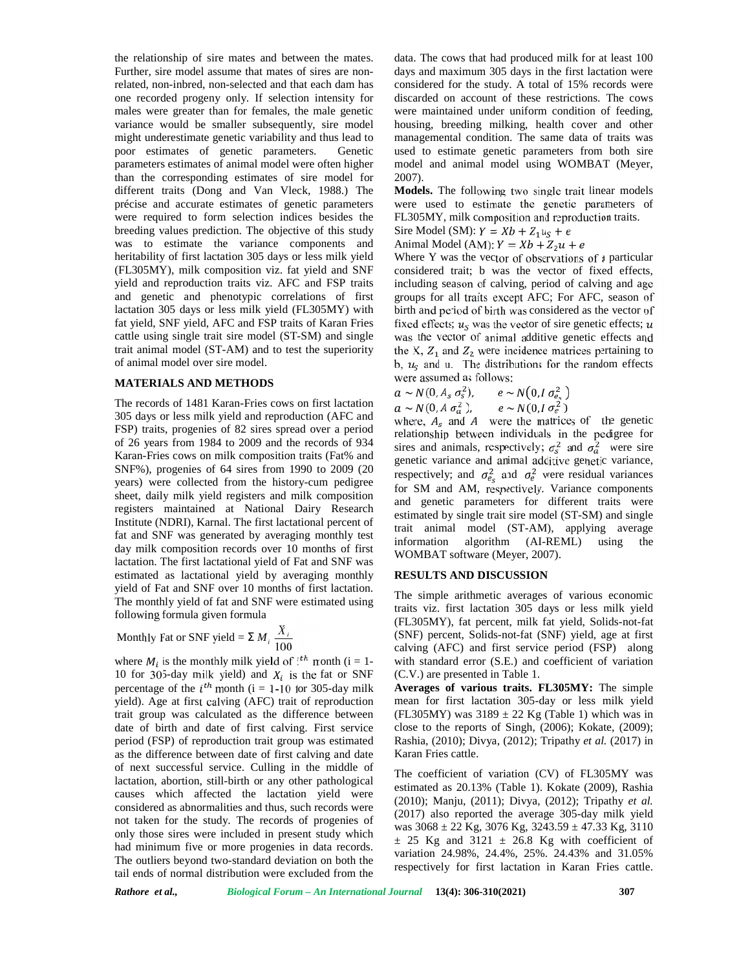the relationship of sire mates and between the mates. Further, sire model assume that mates of sires are nonrelated, non-inbred, non-selected and that each dam has one recorded progeny only. If selection intensity for males were greater than for females, the male genetic variance would be smaller subsequently, sire model might underestimate genetic variability and thus lead to poor estimates of genetic parameters. Genetic parameters estimates of animal model were often higher than the corresponding estimates of sire model for different traits (Dong and Van Vleck, 1988.) The précise and accurate estimates of genetic parameters were required to form selection indices besides the breeding values prediction. The objective of this study was to estimate the variance components and heritability of first lactation 305 days or less milk yield (FL305MY), milk composition viz. fat yield and SNF yield and reproduction traits viz. AFC and FSP traits and genetic and phenotypic correlations of first lactation 305 days or less milk yield (FL305MY) with fat yield, SNF yield, AFC and FSP traits of Karan Fries cattle using single trait sire model (ST-SM) and single trait animal model (ST-AM) and to test the superiority of animal model over sire model.

## **MATERIALS AND METHODS**

The records of 1481 Karan-Fries cows on first lactation 305 days or less milk yield and reproduction (AFC and FSP) traits, progenies of 82 sires spread over a period of 26 years from 1984 to 2009 and the records of 934 Karan-Fries cows on milk composition traits (Fat% and SNF%), progenies of 64 sires from 1990 to 2009 (20 years) were collected from the history-cum pedigree sheet, daily milk yield registers and milk composition registers maintained at National Dairy Research Institute (NDRI), Karnal. The first lactational percent of fat and SNF was generated by averaging monthly test information day milk composition records over 10 months of first lactation. The first lactational yield of Fat and SNF was estimated as lactational yield by averaging monthly yield of Fat and SNF over 10 months of first lactation. The monthly yield of fat and SNF were estimated using following formula given formula and the most in stress cost of S1-53W) and single was the velocies and single was the velocies of the superiority the X,  $Z_1$  and the stress cosmoled over sine model. CT-AM) and to test the superiority the N,  $u_s$  and u.

Monthly Fat or SNF yield = 
$$
\sum M_i \frac{X_i}{100}
$$

where  $M_i$  is the monthly milk yield of  $i^{th}$  month (i = 1-10 for 305-day milk yield) and  $X_i$  is the fat or SNF percentage of the  $i^{th}$  month (i = 1-10 for 305-day milk yield). Age at first calving (AFC) trait of reproduction trait group was calculated as the difference between date of birth and date of first calving. First service period (FSP) of reproduction trait group was estimated as the difference between date of first calving and date of next successful service. Culling in the middle of lactation, abortion, still-birth or any other pathological causes which affected the lactation yield were considered as abnormalities and thus, such records were not taken for the study. The records of progenies of only those sires were included in present study which had minimum five or more progenies in data records. The outliers beyond two-standard deviation on both the tail ends of normal distribution were excluded from the

data. The cows that had produced milk for at least 100 days and maximum 305 days in the first lactation were considered for the study. A total of 15% records were discarded on account of these restrictions. The cows were maintained under uniform condition of feeding, housing, breeding milking, health cover and other managemental condition. The same data of traits was used to estimate genetic parameters from both sire model and animal model using WOMBAT (Meyer, 2007).

**Models.** The following two single trait linear models were used to estimate the genetic parameters of FL305MY, milk composition and reproduction traits.

Sire Model (SM):  $Y = Xb + Z_1u_S + e$ 

Animal Model (AM):  $Y = Xb + Z_2u + e$ 

Where Y was the vector of observations of a particular considered trait; b was the vector of fixed effects, including season of calving, period of calving and age groups for all traits except AFC; For AFC, season of birth and period of birth was considered as the vector of fixed effects;  $u_s$  was the vector of sire genetic effects;  $u$ was the vector of animal additive genetic effects and the X,  $Z_1$  and  $Z_2$  were incidence matrices pertaining to b,  $u<sub>S</sub>$  and u. The distributions for the random effects were assumed as follows:

$$
a \sim N(0, A_s \sigma_s^2),
$$
  $e \sim N(0, I \sigma_{e_s}^2)$   
\n $a \sim N(0, A \sigma_a^2),$   $e \sim N(0, I \sigma_e^2)$ 

where,  $A_s$  and A were the matrices of the genetic relationship between individuals in the pedigree for sires and animals, respectively;  $\sigma_s^2$  and  $\sigma_a^2$  were sire genetic variance and animal additive genetic variance, respectively; and  $\sigma_{e}^2$  and  $\sigma_{e}^2$  were residual variances for SM and AM, respectively. Variance components and genetic parameters for different traits were estimated by single trait sire model (ST-SM) and single trait animal model (ST-AM), applying average algorithm (AI-REML) using the WOMBAT software (Meyer, 2007).

### **RESULTS AND DISCUSSION**

 $\sum M_i \frac{X_i}{100}$  (SNF) percent, Solids-not-fat (SNF) yield, age at first 100 calving (AFC) and first service period (FSP) along The simple arithmetic averages of various economic traits viz. first lactation 305 days or less milk yield (FL305MY), fat percent, milk fat yield, Solids-not-fat with standard error (S.E.) and coefficient of variation (C.V.) are presented in Table 1.

> **Averages of various traits. FL305MY:** The simple mean for first lactation 305-day or less milk yield (FL305MY) was  $3189 \pm 22$  Kg (Table 1) which was in close to the reports of Singh, (2006); Kokate, (2009); Rashia, (2010); Divya, (2012); Tripathy *et al.* (2017) in Karan Fries cattle.

> The coefficient of variation (CV) of FL305MY was estimated as 20.13% (Table 1). Kokate (2009), Rashia (2010); Manju, (2011); Divya, (2012); Tripathy *et al.* (2017) also reported the average 305-day milk yield was  $3068 \pm 22$  Kg,  $3076$  Kg,  $3243.59 \pm 47.33$  Kg,  $3110$  $\pm$  25 Kg and 3121  $\pm$  26.8 Kg with coefficient of variation 24.98%, 24.4%, 25%. 24.43% and 31.05% respectively for first lactation in Karan Fries cattle.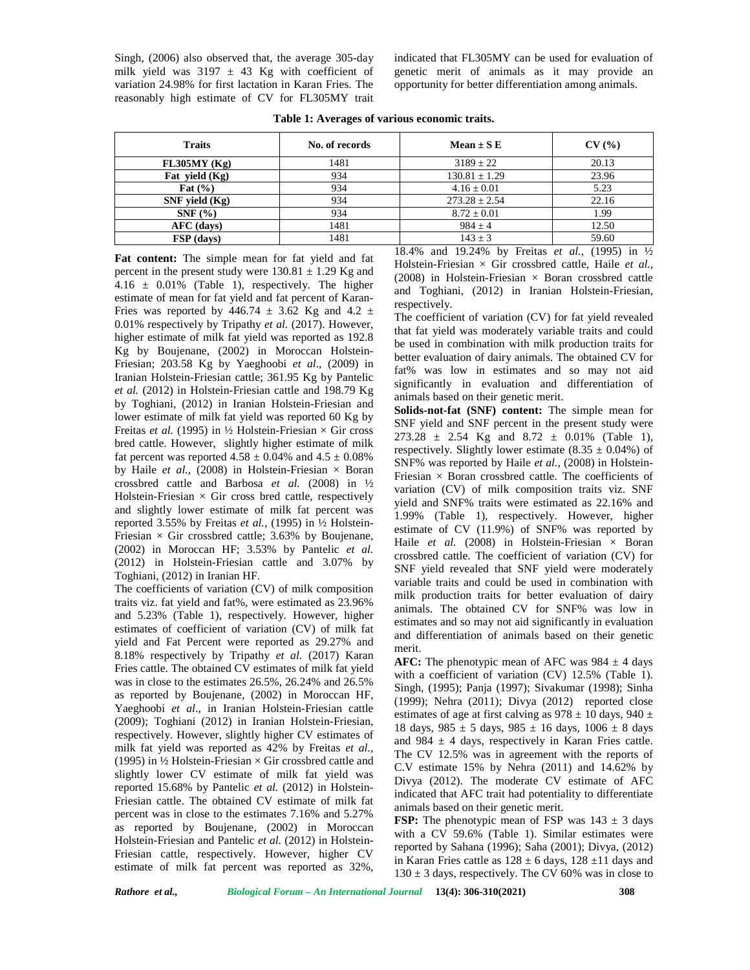Singh, (2006) also observed that, the average 305-day milk yield was  $3197 \pm 43$  Kg with coefficient of variation 24.98% for first lactation in Karan Fries. The reasonably high estimate of CV for FL305MY trait

indicated that FL305MY can be used for evaluation of genetic merit of animals as it may provide an opportunity for better differentiation among animals.

| <b>Traits</b>      | No. of records | Mean $\pm$ S E    | CV(%) |
|--------------------|----------------|-------------------|-------|
| FL305MY(Kg)        | 1481           | $3189 \pm 22$     | 20.13 |
| Fat yield $(Kg)$   | 934            | $130.81 \pm 1.29$ | 23.96 |
| Fat $(\% )$        | 934            | $4.16 \pm 0.01$   | 5.23  |
| $SNF$ yield $(Kg)$ | 934            | $273.28 \pm 2.54$ | 22.16 |
| $SNF(\% )$         | 934            | $8.72 \pm 0.01$   | 1.99  |
| AFC (days)         | 1481           | $984 \pm 4$       | 12.50 |
| FSP (days)         | 1481           | $143 \pm 3$       | 59.60 |

**Table 1: Averages of various economic traits.**

**Fat content:** The simple mean for fat yield and fat percent in the present study were  $130.81 \pm 1.29$  Kg and 4.16  $\pm$  0.01% (Table 1), respectively. The higher estimate of mean for fat yield and fat percent of Karan- Fries was reported by  $446.74 \pm 3.62$  Kg and  $4.2 \pm 1.62$ 0.01% respectively by Tripathy *et al.* (2017). However, higher estimate of milk fat yield was reported as 192.8 Kg by Boujenane, (2002) in Moroccan Holstein- Friesian; 203.58 Kg by Yaeghoobi *et al*., (2009) in Iranian Holstein-Friesian cattle; 361.95 Kg by Pantelic *et al.* (2012) in Holstein-Friesian cattle and 198.79 Kg by Toghiani, (2012) in Iranian Holstein-Friesian and lower estimate of milk fat yield was reported 60 Kg by Freitas *et al.* (1995) in  $\frac{1}{2}$  Holstein-Friesian  $\times$  Gir cross bred cattle. However, slightly higher estimate of milk fat percent was reported  $4.58 \pm 0.04\%$  and  $4.5 \pm 0.08\%$ by Haile *et al.,* (2008) in Holstein-Friesian × Boran crossbred cattle and Barbosa *et al.* (2008) in ½ Holstein-Friesian  $\times$  Gir cross bred cattle, respectively and slightly lower estimate of milk fat percent was reported 3.55% by Freitas *et al.,* (1995) in ½ Holstein- Friesian  $\times$  Gir crossbred cattle; 3.63% by Boujenane, (2002) in Moroccan HF; 3.53% by Pantelic *et al.* (2012) in Holstein-Friesian cattle and 3.07% by Toghiani, (2012) in Iranian HF.

The coefficients of variation (CV) of milk composition traits viz. fat yield and fat%, were estimated as 23.96% and 5.23% (Table 1), respectively. However, higher estimates of coefficient of variation (CV) of milk fat yield and Fat Percent were reported as 29.27% and 8.18% respectively by Tripathy *et al.* (2017) Karan Fries cattle. The obtained CV estimates of milk fat yield was in close to the estimates 26.5%, 26.24% and 26.5% as reported by Boujenane, (2002) in Moroccan HF, Yaeghoobi *et al*., in Iranian Holstein-Friesian cattle (2009); Toghiani (2012) in Iranian Holstein-Friesian, respectively. However, slightly higher CV estimates of milk fat yield was reported as 42% by Freitas *et al.,* (1995) in  $\frac{1}{2}$  Holstein-Friesian  $\times$  Gir crossbred cattle and slightly lower CV estimate of milk fat yield was reported 15.68% by Pantelic *et al.* (2012) in Holstein- Friesian cattle. The obtained CV estimate of milk fat percent was in close to the estimates 7.16% and 5.27% as reported by Boujenane, (2002) in Moroccan Holstein-Friesian and Pantelic *et al.* (2012) in Holstein- Friesian cattle, respectively. However, higher CV estimate of milk fat percent was reported as 32%,

18.4% and 19.24% by Freitas *et al.,* (1995) in ½ Holstein-Friesian × Gir crossbred cattle, Haile *et al.,* (2008) in Holstein-Friesian  $\times$  Boran crossbred cattle and Toghiani, (2012) in Iranian Holstein-Friesian, respectively.

The coefficient of variation (CV) for fat yield revealed that fat yield was moderately variable traits and could be used in combination with milk production traits for better evaluation of dairy animals. The obtained CV for fat% was low in estimates and so may not aid significantly in evaluation and differentiation of animals based on their genetic merit.

**Solids-not-fat (SNF) content:** The simple mean for SNF yield and SNF percent in the present study were  $273.28 \pm 2.54$  Kg and  $8.72 \pm 0.01\%$  (Table 1), respectively. Slightly lower estimate  $(8.35 \pm 0.04\%)$  of SNF% was reported by Haile *et al.,* (2008) in Holstein- Friesian  $\times$  Boran crossbred cattle. The coefficients of variation (CV) of milk composition traits viz. SNF yield and SNF% traits were estimated as 22.16% and 1.99% (Table 1), respectively. However, higher estimate of CV (11.9%) of SNF% was reported by Haile *et al.* (2008) in Holstein-Friesian  $\times$  Boran crossbred cattle. The coefficient of variation (CV) for SNF yield revealed that SNF yield were moderately variable traits and could be used in combination with milk production traits for better evaluation of dairy animals. The obtained CV for SNF% was low in estimates and so may not aid significantly in evaluation and differentiation of animals based on their genetic merit.

**AFC:** The phenotypic mean of AFC was  $984 \pm 4$  days with a coefficient of variation (CV) 12.5% (Table 1). Singh, (1995); Panja (1997); Sivakumar (1998); Sinha (1999); Nehra (2011); Divya (2012) reported close estimates of age at first calving as  $978 \pm 10$  days,  $940 \pm 10$ 18 days,  $985 \pm 5$  days,  $985 \pm 16$  days,  $1006 \pm 8$  days and 984  $\pm$  4 days, respectively in Karan Fries cattle. The CV 12.5% was in agreement with the reports of C.V estimate 15% by Nehra (2011) and 14.62% by Divya (2012). The moderate CV estimate of AFC indicated that AFC trait had potentiality to differentiate animals based on their genetic merit.

**FSP:** The phenotypic mean of FSP was  $143 \pm 3$  days with a CV 59.6% (Table 1). Similar estimates were reported by Sahana (1996); Saha (2001); Divya, (2012) in Karan Fries cattle as  $128 \pm 6$  days,  $128 \pm 11$  days and  $130 \pm 3$  days, respectively. The CV 60% was in close to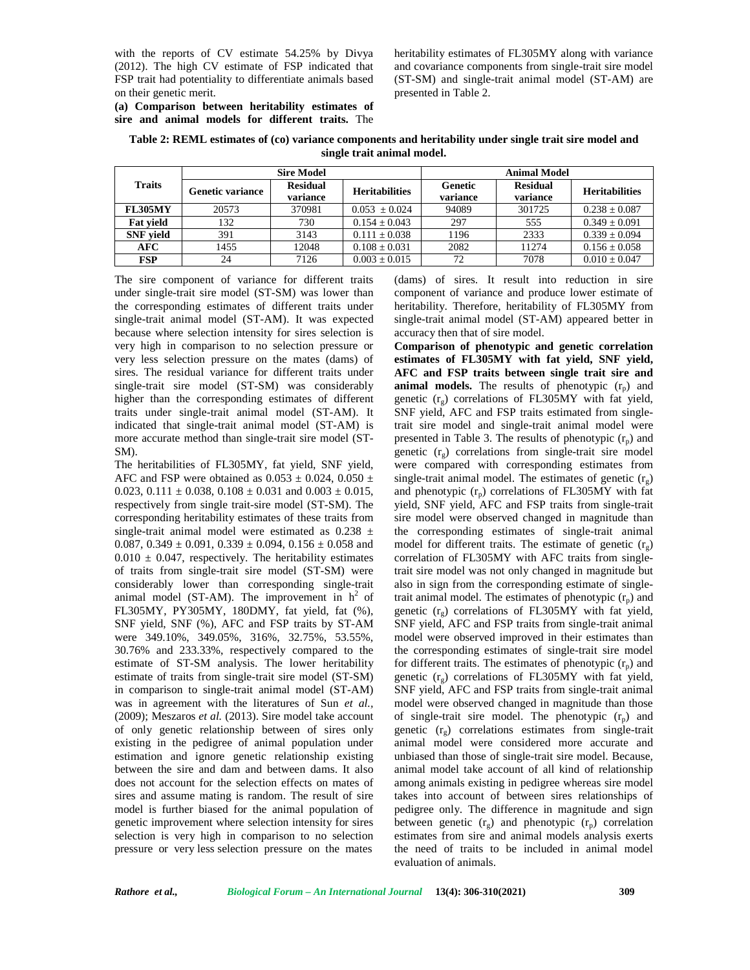with the reports of CV estimate 54.25% by Divya (2012). The high CV estimate of FSP indicated that FSP trait had potentiality to differentiate animals based on their genetic merit.

heritability estimates of FL305MY along with variance and covariance components from single-trait sire model (ST-SM) and single-trait animal model (ST-AM) are presented in Table 2.

**(a) Comparison between heritability estimates of sire and animal models for different traits.** The

| Table 2: REML estimates of (co) variance components and heritability under single trait sire model and |  |
|--------------------------------------------------------------------------------------------------------|--|
| single trait animal model.                                                                             |  |

| <b>Sire Model</b> |                  | <b>Animal Model</b>         |                       |                     |                             |                       |
|-------------------|------------------|-----------------------------|-----------------------|---------------------|-----------------------------|-----------------------|
| <b>Traits</b>     | Genetic variance | <b>Residual</b><br>variance | <b>Heritabilities</b> | Genetic<br>variance | <b>Residual</b><br>variance | <b>Heritabilities</b> |
| <b>FL305MY</b>    | 20573            | 370981                      | $0.053 \pm 0.024$     | 94089               | 301725                      | $0.238 \pm 0.087$     |
| <b>Fat vield</b>  | 132              | 730                         | $0.154 \pm 0.043$     | 297                 | 555                         | $0.349 \pm 0.091$     |
| <b>SNF</b> vield  | 391              | 3143                        | $0.111 \pm 0.038$     | 1196                | 2333                        | $0.339 \pm 0.094$     |
| AFC               | 1455             | 12048                       | $0.108 \pm 0.031$     | 2082                | 11274                       | $0.156 \pm 0.058$     |
| FSP               | 24               | 7126                        | $0.003 \pm 0.015$     | 72                  | 7078                        | $0.010 \pm 0.047$     |

The sire component of variance for different traits under single-trait sire model (ST-SM) was lower than the corresponding estimates of different traits under single-trait animal model (ST-AM). It was expected because where selection intensity for sires selection is very high in comparison to no selection pressure or very less selection pressure on the mates (dams) of sires. The residual variance for different traits under single-trait sire model (ST-SM) was considerably higher than the corresponding estimates of different traits under single-trait animal model (ST-AM). It indicated that single-trait animal model (ST-AM) is more accurate method than single-trait sire model (ST- SM).

The heritabilities of FL305MY, fat yield, SNF yield, AFC and FSP were obtained as  $0.053 \pm 0.024$ ,  $0.050 \pm 0.024$ 0.023, 0.111  $\pm$  0.038, 0.108  $\pm$  0.031 and 0.003  $\pm$  0.015, respectively from single trait-sire model (ST-SM). The corresponding heritability estimates of these traits from single-trait animal model were estimated as  $0.238 \pm$ 0.087, 0.349  $\pm$  0.091, 0.339  $\pm$  0.094, 0.156  $\pm$  0.058 and  $0.010 \pm 0.047$ , respectively. The heritability estimates of traits from single-trait sire model (ST-SM) were considerably lower than corresponding single-trait animal model (ST-AM). The improvement in  $h^2$  of FL305MY, PY305MY, 180DMY, fat yield, fat (%), SNF yield, SNF (%), AFC and FSP traits by ST-AM were 349.10%, 349.05%, 316%, 32.75%, 53.55%, 30.76% and 233.33%, respectively compared to the estimate of ST-SM analysis. The lower heritability estimate of traits from single-trait sire model (ST-SM) in comparison to single-trait animal model (ST-AM) was in agreement with the literatures of Sun *et al.,* (2009); Meszaros *et al.* (2013). Sire model take account of only genetic relationship between of sires only existing in the pedigree of animal population under estimation and ignore genetic relationship existing between the sire and dam and between dams. It also does not account for the selection effects on mates of sires and assume mating is random. The result of sire model is further biased for the animal population of genetic improvement where selection intensity for sires selection is very high in comparison to no selection pressure or very less selection pressure on the mates

(dams) of sires. It result into reduction in sire component of variance and produce lower estimate of heritability. Therefore, heritability of FL305MY from single-trait animal model (ST-AM) appeared better in accuracy then that of sire model.

**Comparison of phenotypic and genetic correlation estimates of FL305MY with fat yield, SNF yield, AFC and FSP traits between single trait sire and animal models.** The results of phenotypic  $(r_n)$  and genetic  $(r_g)$  correlations of FL305MY with fat yield, SNF yield, AFC and FSP traits estimated from singletrait sire model and single-trait animal model were presented in Table 3. The results of phenotypic  $(r_n)$  and genetic  $(r<sub>e</sub>)$  correlations from single-trait sire model were compared with corresponding estimates from single-trait animal model. The estimates of genetic  $(r<sub>o</sub>)$ and phenotypic  $(r_n)$  correlations of FL305MY with fat yield, SNF yield, AFC and FSP traits from single-trait sire model were observed changed in magnitude than the corresponding estimates of single-trait animal model for different traits. The estimate of genetic  $(r_g)$ correlation of FL305MY with AFC traits from singletrait sire model was not only changed in magnitude but also in sign from the corresponding estimate of singletrait animal model. The estimates of phenotypic  $(r_p)$  and genetic  $(r<sub>o</sub>)$  correlations of FL305MY with fat yield, SNF yield, AFC and FSP traits from single-trait animal model were observed improved in their estimates than the corresponding estimates of single-trait sire model for different traits. The estimates of phenotypic  $(r_p)$  and genetic  $(r_g)$  correlations of FL305MY with fat yield, SNF yield, AFC and FSP traits from single-trait animal model were observed changed in magnitude than those of single-trait sire model. The phenotypic  $(r_n)$  and genetic  $(r<sub>o</sub>)$  correlations estimates from single-trait animal model were considered more accurate and unbiased than those of single-trait sire model. Because, animal model take account of all kind of relationship among animals existing in pedigree whereas sire model takes into account of between sires relationships of pedigree only. The difference in magnitude and sign between genetic  $(r_g)$  and phenotypic  $(r_p)$  correlation estimates from sire and animal models analysis exerts the need of traits to be included in animal model evaluation of animals.